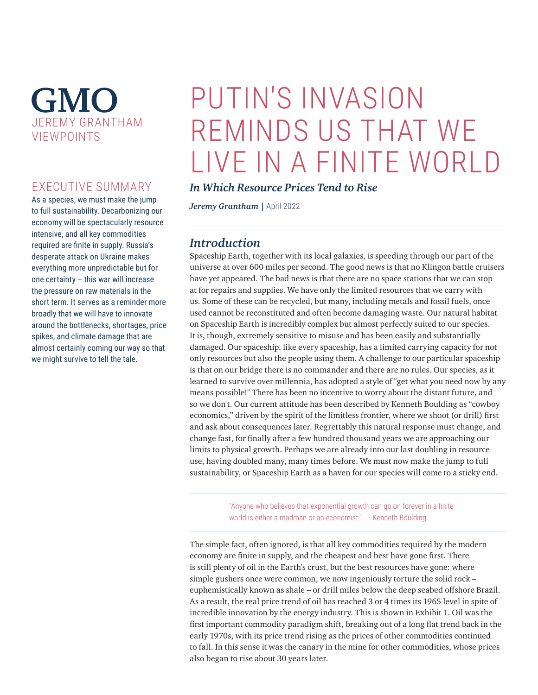# **GMO** JEREMY GRANTHAM VIEWPOINTS

# EXECUTIVE SUMMARY

As a species, we must make the jump to full sustainability. Decarbonizing our economy will be spectacularly resource intensive, and all key commodities required are finite in supply. Russia's desperate attack on Ukraine makes everything more unpredictable but for one certainty – this war will increase the pressure on raw materials in the short term. It serves as a reminder more broadly that we will have to innovate around the bottlenecks, shortages, price spikes, and climate damage that are almost certainly coming our way so that we might survive to tell the tale.

# PUTIN'S INVASION REMINDS US THAT WE LIVE IN A FINITE WORLD

### *In Which Resource Prices Tend to Rise*

*Jeremy Grantham |* April 2022

## *Introduction*

Spaceship Earth, together with its local galaxies, is speeding through our part of the universe at over 600 miles per second. The good news is that no Klingon battle cruisers have yet appeared. The bad news is that there are no space stations that we can stop at for repairs and supplies. We have only the limited resources that we carry with us. Some of these can be recycled, but many, including metals and fossil fuels, once used cannot be reconstituted and often become damaging waste. Our natural habitat on Spaceship Earth is incredibly complex but almost perfectly suited to our species. It is, though, extremely sensitive to misuse and has been easily and substantially damaged. Our spaceship, like every spaceship, has a limited carrying capacity for not only resources but also the people using them. A challenge to our particular spaceship is that on our bridge there is no commander and there are no rules. Our species, as it learned to survive over millennia, has adopted a style of "get what you need now by any means possible!" There has been no incentive to worry about the distant future, and so we don't. Our current attitude has been described by Kenneth Boulding as "cowboy economics," driven by the spirit of the limitless frontier, where we shoot (or drill) first and ask about consequences later. Regrettably this natural response must change, and change fast, for finally after a few hundred thousand years we are approaching our limits to physical growth. Perhaps we are already into our last doubling in resource use, having doubled many, many times before. We must now make the jump to full sustainability, or Spaceship Earth as a haven for our species will come to a sticky end.

> "Anyone who believes that exponential growth can go on forever in a finite world is either a madman or an economist." - Kenneth Boulding

The simple fact, often ignored, is that all key commodities required by the modern economy are finite in supply, and the cheapest and best have gone first. There is still plenty of oil in the Earth's crust, but the best resources have gone: where simple gushers once were common, we now ingeniously torture the solid rock – euphemistically known as shale – or drill miles below the deep seabed offshore Brazil. As a result, the real price trend of oil has reached 3 or 4 times its 1965 level in spite of incredible innovation by the energy industry. This is shown in Exhibit 1. Oil was the first important commodity paradigm shift, breaking out of a long flat trend back in the early 1970s, with its price trend rising as the prices of other commodities continued to fall. In this sense it was the canary in the mine for other commodities, whose prices also began to rise about 30 years later.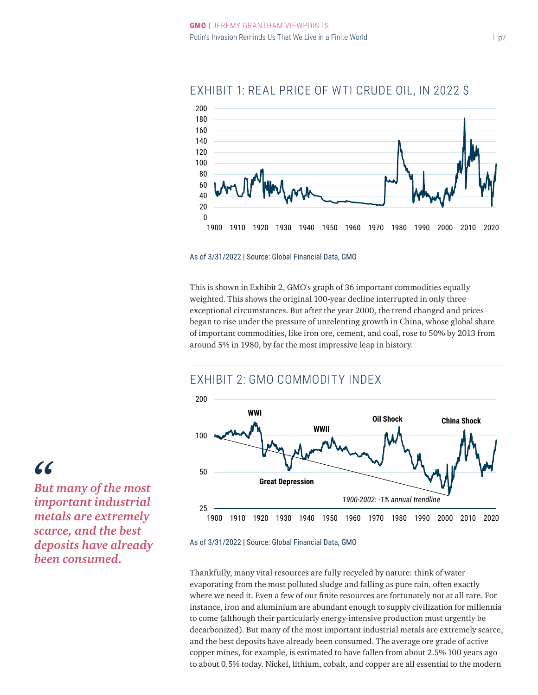

# EXHIBIT 1: REAL PRICE OF WTI CRUDE OIL, IN 2022 \$

#### As of 3/31/2022 | Source: Global Financial Data, GMO

This is shown in Exhibit 2, GMO's graph of 36 important commodities equally weighted. This shows the original 100-year decline interrupted in only three exceptional circumstances. But after the year 2000, the trend changed and prices began to rise under the pressure of unrelenting growth in China, whose global share of important commodities, like iron ore, cement, and coal, rose to 50% by 2013 from around 5% in 1980, by far the most impressive leap in history.

## EXHIBIT 2: GMO COMMODITY INDEX



As of 3/31/2022 | Source: Global Financial Data, GMO

Thankfully, many vital resources are fully recycled by nature: think of water evaporating from the most polluted sludge and falling as pure rain, often exactly where we need it. Even a few of our finite resources are fortunately not at all rare. For instance, iron and aluminium are abundant enough to supply civilization for millennia to come (although their particularly energy-intensive production must urgently be decarbonized). But many of the most important industrial metals are extremely scarce, and the best deposits have already been consumed. The average ore grade of active copper mines, for example, is estimated to have fallen from about 2.5% 100 years ago to about 0.5% today. Nickel, lithium, cobalt, and copper are all essential to the modern

# *"*

*But many of the most important industrial metals are extremely scarce, and the best deposits have already been consumed.*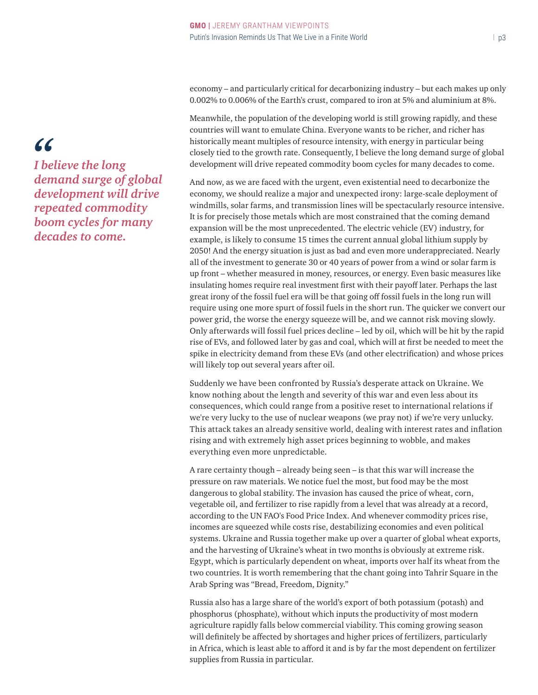economy – and particularly critical for decarbonizing industry – but each makes up only 0.002% to 0.006% of the Earth's crust, compared to iron at 5% and aluminium at 8%.

Meanwhile, the population of the developing world is still growing rapidly, and these countries will want to emulate China. Everyone wants to be richer, and richer has historically meant multiples of resource intensity, with energy in particular being closely tied to the growth rate. Consequently, I believe the long demand surge of global development will drive repeated commodity boom cycles for many decades to come.

And now, as we are faced with the urgent, even existential need to decarbonize the economy, we should realize a major and unexpected irony: large-scale deployment of windmills, solar farms, and transmission lines will be spectacularly resource intensive. It is for precisely those metals which are most constrained that the coming demand expansion will be the most unprecedented. The electric vehicle (EV) industry, for example, is likely to consume 15 times the current annual global lithium supply by 2050! And the energy situation is just as bad and even more underappreciated. Nearly all of the investment to generate 30 or 40 years of power from a wind or solar farm is up front – whether measured in money, resources, or energy. Even basic measures like insulating homes require real investment first with their payoff later. Perhaps the last great irony of the fossil fuel era will be that going off fossil fuels in the long run will require using one more spurt of fossil fuels in the short run. The quicker we convert our power grid, the worse the energy squeeze will be, and we cannot risk moving slowly. Only afterwards will fossil fuel prices decline – led by oil, which will be hit by the rapid rise of EVs, and followed later by gas and coal, which will at first be needed to meet the spike in electricity demand from these EVs (and other electrification) and whose prices will likely top out several years after oil.

Suddenly we have been confronted by Russia's desperate attack on Ukraine. We know nothing about the length and severity of this war and even less about its consequences, which could range from a positive reset to international relations if we're very lucky to the use of nuclear weapons (we pray not) if we're very unlucky. This attack takes an already sensitive world, dealing with interest rates and inflation rising and with extremely high asset prices beginning to wobble, and makes everything even more unpredictable.

A rare certainty though – already being seen – is that this war will increase the pressure on raw materials. We notice fuel the most, but food may be the most dangerous to global stability. The invasion has caused the price of wheat, corn, vegetable oil, and fertilizer to rise rapidly from a level that was already at a record, according to the UN FAO's Food Price Index. And whenever commodity prices rise, incomes are squeezed while costs rise, destabilizing economies and even political systems. Ukraine and Russia together make up over a quarter of global wheat exports, and the harvesting of Ukraine's wheat in two months is obviously at extreme risk. Egypt, which is particularly dependent on wheat, imports over half its wheat from the two countries. It is worth remembering that the chant going into Tahrir Square in the Arab Spring was "Bread, Freedom, Dignity."

Russia also has a large share of the world's export of both potassium (potash) and phosphorus (phosphate), without which inputs the productivity of most modern agriculture rapidly falls below commercial viability. This coming growing season will definitely be affected by shortages and higher prices of fertilizers, particularly in Africa, which is least able to afford it and is by far the most dependent on fertilizer supplies from Russia in particular.

# *"*

*I believe the long demand surge of global development will drive repeated commodity boom cycles for many decades to come.*